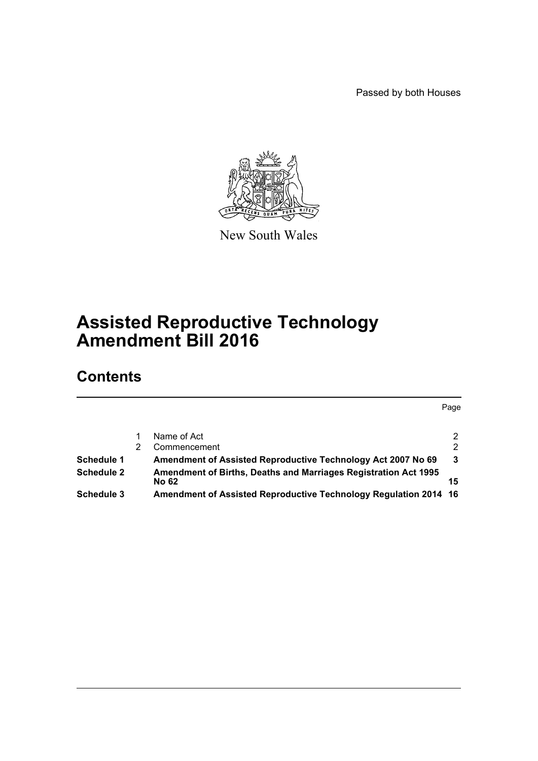Passed by both Houses



New South Wales

# **Assisted Reproductive Technology Amendment Bill 2016**

# **Contents**

Page

|                   | Name of Act<br>Commencement                                                     | $\mathcal{P}$<br>$\mathcal{P}$ |
|-------------------|---------------------------------------------------------------------------------|--------------------------------|
| Schedule 1        | Amendment of Assisted Reproductive Technology Act 2007 No 69                    | $\cdot$ 3                      |
| Schedule 2        | Amendment of Births, Deaths and Marriages Registration Act 1995<br><b>No 62</b> | 15                             |
| <b>Schedule 3</b> | Amendment of Assisted Reproductive Technology Regulation 2014 16                |                                |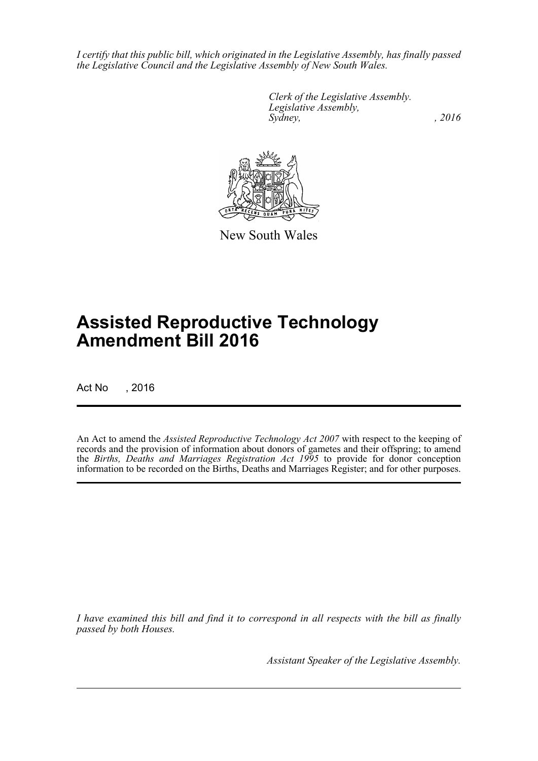*I certify that this public bill, which originated in the Legislative Assembly, has finally passed the Legislative Council and the Legislative Assembly of New South Wales.*

> *Clerk of the Legislative Assembly. Legislative Assembly, Sydney,* , 2016



New South Wales

# **Assisted Reproductive Technology Amendment Bill 2016**

Act No , 2016

An Act to amend the *Assisted Reproductive Technology Act 2007* with respect to the keeping of records and the provision of information about donors of gametes and their offspring; to amend the *Births, Deaths and Marriages Registration Act 1995* to provide for donor conception information to be recorded on the Births, Deaths and Marriages Register; and for other purposes.

*I have examined this bill and find it to correspond in all respects with the bill as finally passed by both Houses.*

*Assistant Speaker of the Legislative Assembly.*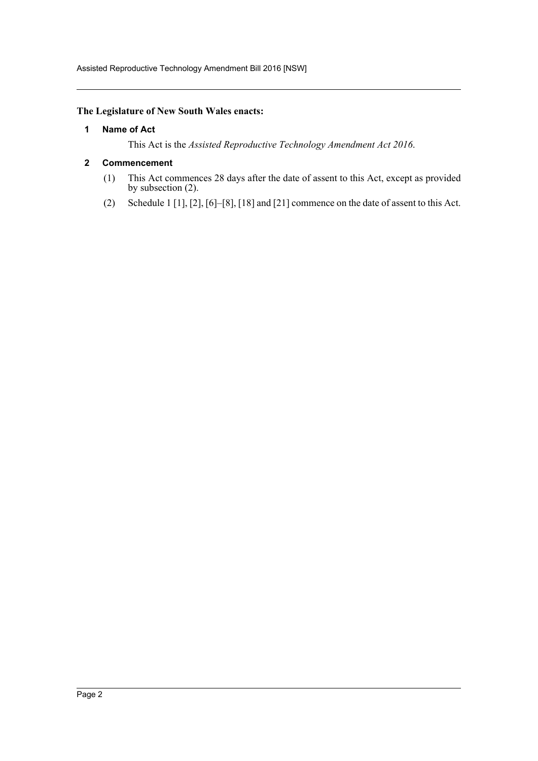# <span id="page-2-0"></span>**The Legislature of New South Wales enacts:**

# **1 Name of Act**

This Act is the *Assisted Reproductive Technology Amendment Act 2016*.

# <span id="page-2-1"></span>**2 Commencement**

- (1) This Act commences 28 days after the date of assent to this Act, except as provided by subsection (2).
- (2) Schedule 1 [1], [2], [6]–[8], [18] and [21] commence on the date of assent to this Act.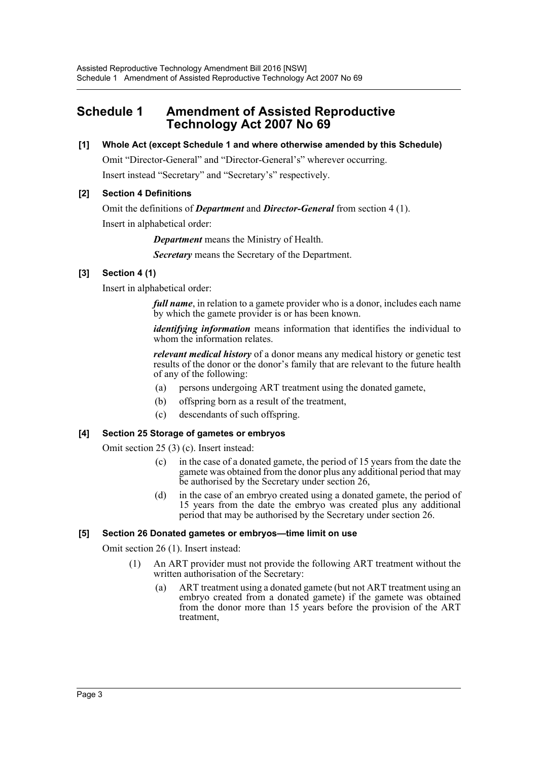# <span id="page-3-0"></span>**Schedule 1 Amendment of Assisted Reproductive Technology Act 2007 No 69**

# **[1] Whole Act (except Schedule 1 and where otherwise amended by this Schedule)**

Omit "Director-General" and "Director-General's" wherever occurring. Insert instead "Secretary" and "Secretary's" respectively.

# **[2] Section 4 Definitions**

Omit the definitions of *Department* and *Director-General* from section 4 (1).

Insert in alphabetical order:

*Department* means the Ministry of Health.

*Secretary* means the Secretary of the Department.

# **[3] Section 4 (1)**

Insert in alphabetical order:

*full name*, in relation to a gamete provider who is a donor, includes each name by which the gamete provider is or has been known.

*identifying information* means information that identifies the individual to whom the information relates.

*relevant medical history* of a donor means any medical history or genetic test results of the donor or the donor's family that are relevant to the future health of any of the following:

- (a) persons undergoing ART treatment using the donated gamete,
- (b) offspring born as a result of the treatment,
- (c) descendants of such offspring.

# **[4] Section 25 Storage of gametes or embryos**

Omit section 25 (3) (c). Insert instead:

- (c) in the case of a donated gamete, the period of 15 years from the date the gamete was obtained from the donor plus any additional period that may be authorised by the Secretary under section 26,
- (d) in the case of an embryo created using a donated gamete, the period of 15 years from the date the embryo was created plus any additional period that may be authorised by the Secretary under section 26.

# **[5] Section 26 Donated gametes or embryos—time limit on use**

Omit section 26 (1). Insert instead:

- (1) An ART provider must not provide the following ART treatment without the written authorisation of the Secretary:
	- (a) ART treatment using a donated gamete (but not ART treatment using an embryo created from a donated gamete) if the gamete was obtained from the donor more than 15 years before the provision of the ART treatment,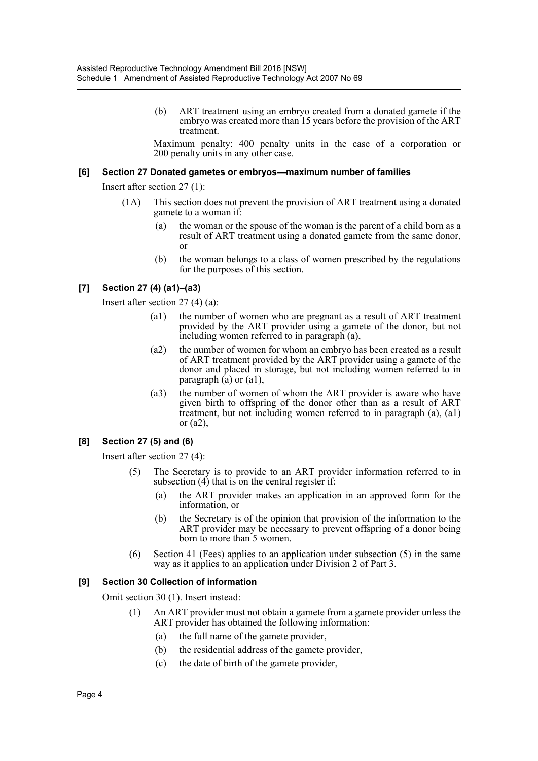(b) ART treatment using an embryo created from a donated gamete if the embryo was created more than 15 years before the provision of the ART treatment.

Maximum penalty: 400 penalty units in the case of a corporation or 200 penalty units in any other case.

#### **[6] Section 27 Donated gametes or embryos—maximum number of families**

Insert after section 27 (1):

- (1A) This section does not prevent the provision of ART treatment using a donated gamete to a woman if:
	- (a) the woman or the spouse of the woman is the parent of a child born as a result of ART treatment using a donated gamete from the same donor, or
	- (b) the woman belongs to a class of women prescribed by the regulations for the purposes of this section.

# **[7] Section 27 (4) (a1)–(a3)**

Insert after section 27 (4) (a):

- (a1) the number of women who are pregnant as a result of ART treatment provided by the ART provider using a gamete of the donor, but not including women referred to in paragraph (a),
- (a2) the number of women for whom an embryo has been created as a result of ART treatment provided by the ART provider using a gamete of the donor and placed in storage, but not including women referred to in paragraph (a) or (a1),
- (a3) the number of women of whom the ART provider is aware who have given birth to offspring of the donor other than as a result of ART treatment, but not including women referred to in paragraph (a), (a1) or (a2),

#### **[8] Section 27 (5) and (6)**

Insert after section 27 (4):

- (5) The Secretary is to provide to an ART provider information referred to in subsection  $(4)$  that is on the central register if:
	- (a) the ART provider makes an application in an approved form for the information, or
	- (b) the Secretary is of the opinion that provision of the information to the ART provider may be necessary to prevent offspring of a donor being born to more than 5 women.
- (6) Section 41 (Fees) applies to an application under subsection (5) in the same way as it applies to an application under Division 2 of Part 3.

#### **[9] Section 30 Collection of information**

Omit section 30 (1). Insert instead:

- (1) An ART provider must not obtain a gamete from a gamete provider unless the ART provider has obtained the following information:
	- (a) the full name of the gamete provider,
	- (b) the residential address of the gamete provider,
	- (c) the date of birth of the gamete provider,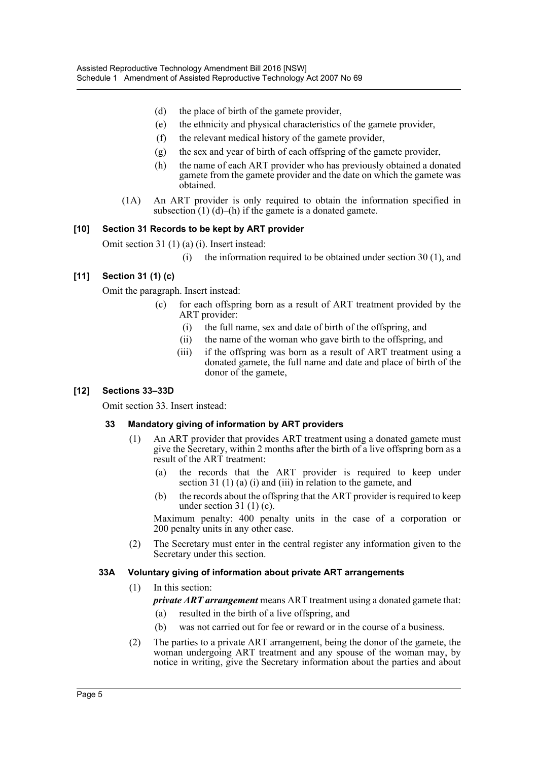- (d) the place of birth of the gamete provider,
- (e) the ethnicity and physical characteristics of the gamete provider,
- (f) the relevant medical history of the gamete provider,
- (g) the sex and year of birth of each offspring of the gamete provider,
- (h) the name of each ART provider who has previously obtained a donated gamete from the gamete provider and the date on which the gamete was obtained.
- (1A) An ART provider is only required to obtain the information specified in subsection  $(1)$   $(d)$ – $(h)$  if the gamete is a donated gamete.

#### **[10] Section 31 Records to be kept by ART provider**

Omit section 31 (1) (a) (i). Insert instead:

(i) the information required to be obtained under section 30 (1), and

# **[11] Section 31 (1) (c)**

Omit the paragraph. Insert instead:

- (c) for each offspring born as a result of ART treatment provided by the ART provider:
	- (i) the full name, sex and date of birth of the offspring, and
	- (ii) the name of the woman who gave birth to the offspring, and
	- (iii) if the offspring was born as a result of ART treatment using a donated gamete, the full name and date and place of birth of the donor of the gamete,

#### **[12] Sections 33–33D**

Omit section 33. Insert instead:

#### **33 Mandatory giving of information by ART providers**

- (1) An ART provider that provides ART treatment using a donated gamete must give the Secretary, within 2 months after the birth of a live offspring born as a result of the ART treatment:
	- (a) the records that the ART provider is required to keep under section 31 (1) (a) (i) and (iii) in relation to the gamete, and
	- (b) the records about the offspring that the ART provider is required to keep under section 31 $(1)$  $(c)$ .

Maximum penalty: 400 penalty units in the case of a corporation or 200 penalty units in any other case.

(2) The Secretary must enter in the central register any information given to the Secretary under this section.

#### **33A Voluntary giving of information about private ART arrangements**

- (1) In this section:
	- *private ART arrangement* means ART treatment using a donated gamete that:
	- (a) resulted in the birth of a live offspring, and
	- (b) was not carried out for fee or reward or in the course of a business.
- (2) The parties to a private ART arrangement, being the donor of the gamete, the woman undergoing ART treatment and any spouse of the woman may, by notice in writing, give the Secretary information about the parties and about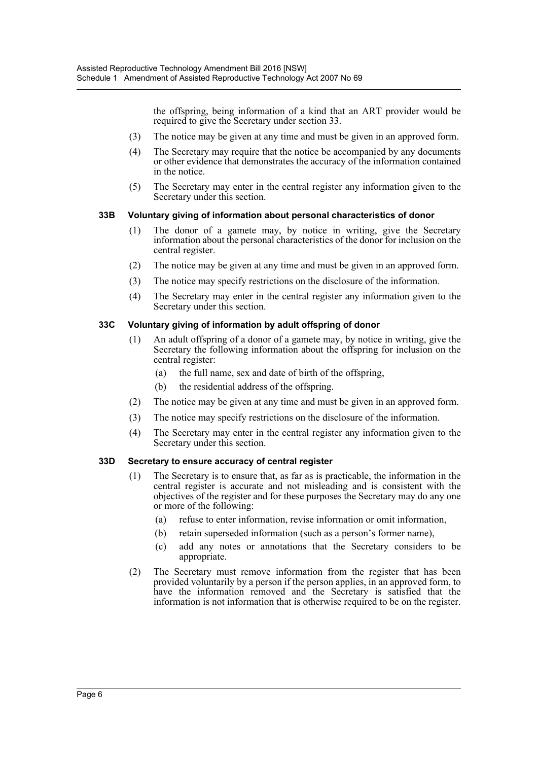the offspring, being information of a kind that an ART provider would be required to give the Secretary under section 33.

- (3) The notice may be given at any time and must be given in an approved form.
- (4) The Secretary may require that the notice be accompanied by any documents or other evidence that demonstrates the accuracy of the information contained in the notice.
- (5) The Secretary may enter in the central register any information given to the Secretary under this section.

# **33B Voluntary giving of information about personal characteristics of donor**

- (1) The donor of a gamete may, by notice in writing, give the Secretary information about the personal characteristics of the donor for inclusion on the central register.
- (2) The notice may be given at any time and must be given in an approved form.
- (3) The notice may specify restrictions on the disclosure of the information.
- (4) The Secretary may enter in the central register any information given to the Secretary under this section.

# **33C Voluntary giving of information by adult offspring of donor**

- (1) An adult offspring of a donor of a gamete may, by notice in writing, give the Secretary the following information about the offspring for inclusion on the central register:
	- (a) the full name, sex and date of birth of the offspring,
	- (b) the residential address of the offspring.
- (2) The notice may be given at any time and must be given in an approved form.
- (3) The notice may specify restrictions on the disclosure of the information.
- (4) The Secretary may enter in the central register any information given to the Secretary under this section.

#### **33D Secretary to ensure accuracy of central register**

- (1) The Secretary is to ensure that, as far as is practicable, the information in the central register is accurate and not misleading and is consistent with the objectives of the register and for these purposes the Secretary may do any one or more of the following:
	- (a) refuse to enter information, revise information or omit information,
	- (b) retain superseded information (such as a person's former name),
	- (c) add any notes or annotations that the Secretary considers to be appropriate.
- (2) The Secretary must remove information from the register that has been provided voluntarily by a person if the person applies, in an approved form, to have the information removed and the Secretary is satisfied that the information is not information that is otherwise required to be on the register.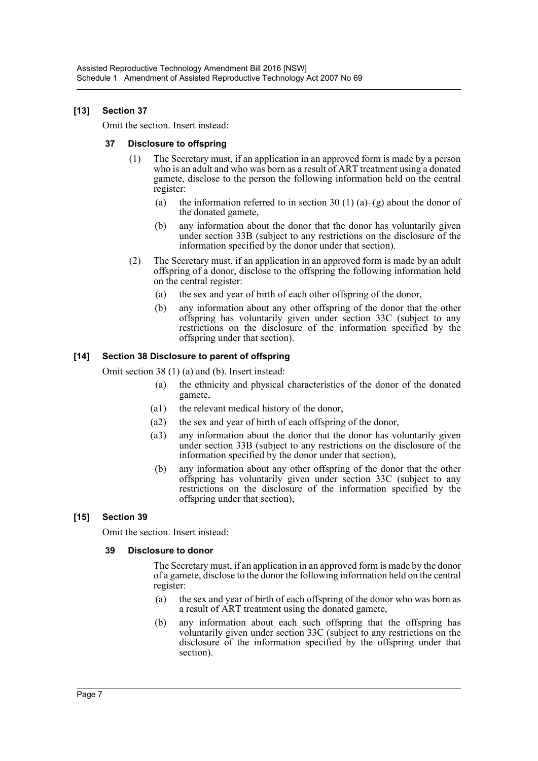# **[13] Section 37**

Omit the section. Insert instead:

#### **37 Disclosure to offspring**

- (1) The Secretary must, if an application in an approved form is made by a person who is an adult and who was born as a result of ART treatment using a donated gamete, disclose to the person the following information held on the central register:
	- (a) the information referred to in section 30 (1) (a)–(g) about the donor of the donated gamete,
	- (b) any information about the donor that the donor has voluntarily given under section 33B (subject to any restrictions on the disclosure of the information specified by the donor under that section).
- (2) The Secretary must, if an application in an approved form is made by an adult offspring of a donor, disclose to the offspring the following information held on the central register:
	- (a) the sex and year of birth of each other offspring of the donor,
	- (b) any information about any other offspring of the donor that the other offspring has voluntarily given under section 33C (subject to any restrictions on the disclosure of the information specified by the offspring under that section).

# **[14] Section 38 Disclosure to parent of offspring**

Omit section 38 (1) (a) and (b). Insert instead:

- (a) the ethnicity and physical characteristics of the donor of the donated gamete,
- (a1) the relevant medical history of the donor,
- (a2) the sex and year of birth of each offspring of the donor,
- (a3) any information about the donor that the donor has voluntarily given under section 33B (subject to any restrictions on the disclosure of the information specified by the donor under that section),
- (b) any information about any other offspring of the donor that the other offspring has voluntarily given under section 33C (subject to any restrictions on the disclosure of the information specified by the offspring under that section),

# **[15] Section 39**

Omit the section. Insert instead:

#### **39 Disclosure to donor**

The Secretary must, if an application in an approved form is made by the donor of a gamete, disclose to the donor the following information held on the central register:

- (a) the sex and year of birth of each offspring of the donor who was born as a result of ART treatment using the donated gamete,
- (b) any information about each such offspring that the offspring has voluntarily given under section 33C (subject to any restrictions on the disclosure of the information specified by the offspring under that section).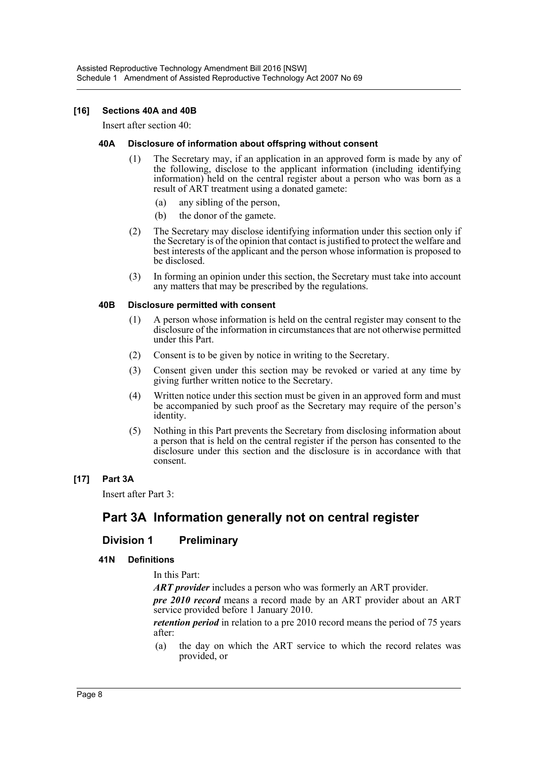#### **[16] Sections 40A and 40B**

Insert after section 40:

#### **40A Disclosure of information about offspring without consent**

- (1) The Secretary may, if an application in an approved form is made by any of the following, disclose to the applicant information (including identifying information) held on the central register about a person who was born as a result of ART treatment using a donated gamete:
	- (a) any sibling of the person,
	- (b) the donor of the gamete.
- (2) The Secretary may disclose identifying information under this section only if the Secretary is of the opinion that contact is justified to protect the welfare and best interests of the applicant and the person whose information is proposed to be disclosed.
- (3) In forming an opinion under this section, the Secretary must take into account any matters that may be prescribed by the regulations.

#### **40B Disclosure permitted with consent**

- (1) A person whose information is held on the central register may consent to the disclosure of the information in circumstances that are not otherwise permitted under this Part.
- (2) Consent is to be given by notice in writing to the Secretary.
- (3) Consent given under this section may be revoked or varied at any time by giving further written notice to the Secretary.
- (4) Written notice under this section must be given in an approved form and must be accompanied by such proof as the Secretary may require of the person's identity.
- (5) Nothing in this Part prevents the Secretary from disclosing information about a person that is held on the central register if the person has consented to the disclosure under this section and the disclosure is in accordance with that consent.

# **[17] Part 3A**

Insert after Part 3:

# **Part 3A Information generally not on central register**

# **Division 1 Preliminary**

#### **41N Definitions**

In this Part:

*ART provider* includes a person who was formerly an ART provider.

*pre 2010 record* means a record made by an ART provider about an ART service provided before 1 January 2010.

*retention period* in relation to a pre 2010 record means the period of 75 years after:

(a) the day on which the ART service to which the record relates was provided, or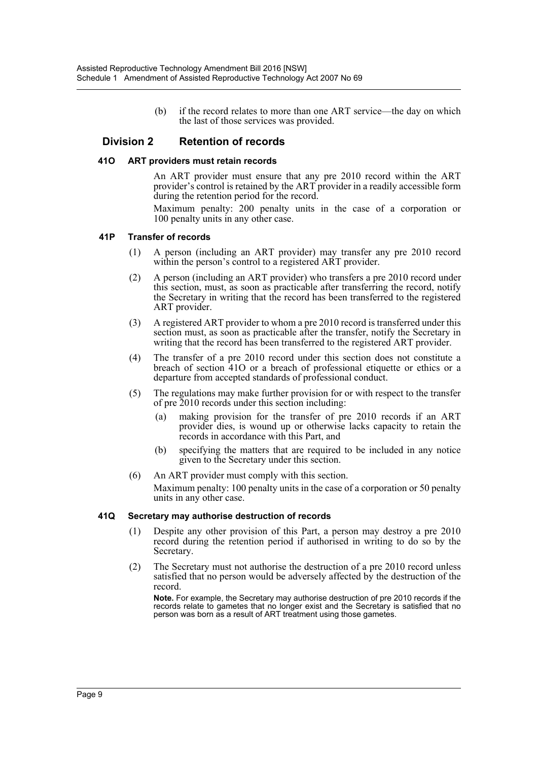(b) if the record relates to more than one ART service—the day on which the last of those services was provided.

# **Division 2 Retention of records**

#### **41O ART providers must retain records**

An ART provider must ensure that any pre 2010 record within the ART provider's control is retained by the ART provider in a readily accessible form during the retention period for the record.

Maximum penalty: 200 penalty units in the case of a corporation or 100 penalty units in any other case.

#### **41P Transfer of records**

- (1) A person (including an ART provider) may transfer any pre 2010 record within the person's control to a registered ART provider.
- (2) A person (including an ART provider) who transfers a pre 2010 record under this section, must, as soon as practicable after transferring the record, notify the Secretary in writing that the record has been transferred to the registered ART provider.
- (3) A registered ART provider to whom a pre 2010 record is transferred under this section must, as soon as practicable after the transfer, notify the Secretary in writing that the record has been transferred to the registered ART provider.
- (4) The transfer of a pre 2010 record under this section does not constitute a breach of section 41O or a breach of professional etiquette or ethics or a departure from accepted standards of professional conduct.
- (5) The regulations may make further provision for or with respect to the transfer of pre 2010 records under this section including:
	- (a) making provision for the transfer of pre 2010 records if an ART provider dies, is wound up or otherwise lacks capacity to retain the records in accordance with this Part, and
	- (b) specifying the matters that are required to be included in any notice given to the Secretary under this section.
- (6) An ART provider must comply with this section. Maximum penalty: 100 penalty units in the case of a corporation or 50 penalty units in any other case.

#### **41Q Secretary may authorise destruction of records**

- (1) Despite any other provision of this Part, a person may destroy a pre 2010 record during the retention period if authorised in writing to do so by the Secretary.
- (2) The Secretary must not authorise the destruction of a pre 2010 record unless satisfied that no person would be adversely affected by the destruction of the record.

**Note.** For example, the Secretary may authorise destruction of pre 2010 records if the records relate to gametes that no longer exist and the Secretary is satisfied that no person was born as a result of ART treatment using those gametes.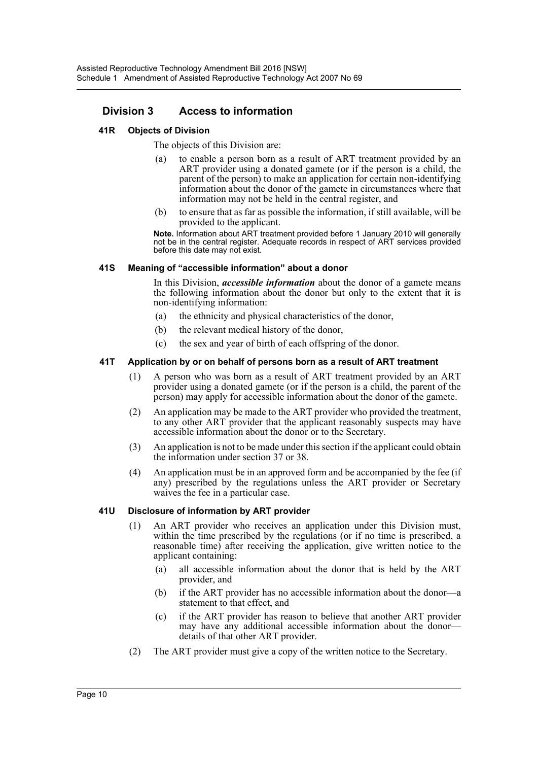# **Division 3 Access to information**

#### **41R Objects of Division**

The objects of this Division are:

- (a) to enable a person born as a result of ART treatment provided by an ART provider using a donated gamete (or if the person is a child, the parent of the person) to make an application for certain non-identifying information about the donor of the gamete in circumstances where that information may not be held in the central register, and
- (b) to ensure that as far as possible the information, if still available, will be provided to the applicant.

**Note.** Information about ART treatment provided before 1 January 2010 will generally not be in the central register. Adequate records in respect of ART services provided before this date may not exist.

#### **41S Meaning of "accessible information" about a donor**

In this Division, *accessible information* about the donor of a gamete means the following information about the donor but only to the extent that it is non-identifying information:

- (a) the ethnicity and physical characteristics of the donor,
- (b) the relevant medical history of the donor,
- (c) the sex and year of birth of each offspring of the donor.

#### **41T Application by or on behalf of persons born as a result of ART treatment**

- (1) A person who was born as a result of ART treatment provided by an ART provider using a donated gamete (or if the person is a child, the parent of the person) may apply for accessible information about the donor of the gamete.
- (2) An application may be made to the ART provider who provided the treatment, to any other ART provider that the applicant reasonably suspects may have accessible information about the donor or to the Secretary.
- (3) An application is not to be made under this section if the applicant could obtain the information under section 37 or 38.
- (4) An application must be in an approved form and be accompanied by the fee (if any) prescribed by the regulations unless the ART provider or Secretary waives the fee in a particular case.

#### **41U Disclosure of information by ART provider**

- (1) An ART provider who receives an application under this Division must, within the time prescribed by the regulations (or if no time is prescribed, a reasonable time) after receiving the application, give written notice to the applicant containing:
	- (a) all accessible information about the donor that is held by the ART provider, and
	- (b) if the ART provider has no accessible information about the donor—a statement to that effect, and
	- (c) if the ART provider has reason to believe that another ART provider may have any additional accessible information about the donor details of that other ART provider.
- (2) The ART provider must give a copy of the written notice to the Secretary.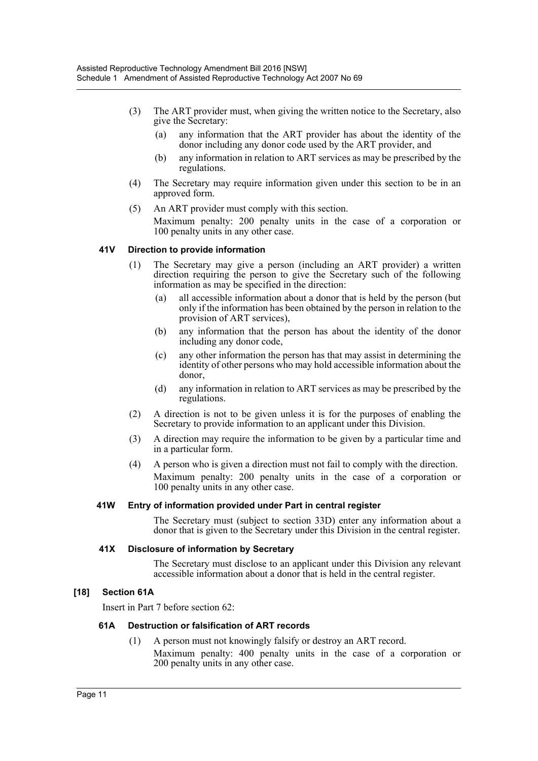- (3) The ART provider must, when giving the written notice to the Secretary, also give the Secretary:
	- (a) any information that the ART provider has about the identity of the donor including any donor code used by the ART provider, and
	- (b) any information in relation to ART services as may be prescribed by the regulations.
- (4) The Secretary may require information given under this section to be in an approved form.
- (5) An ART provider must comply with this section.

Maximum penalty: 200 penalty units in the case of a corporation or 100 penalty units in any other case.

# **41V Direction to provide information**

- (1) The Secretary may give a person (including an ART provider) a written direction requiring the person to give the Secretary such of the following information as may be specified in the direction:
	- (a) all accessible information about a donor that is held by the person (but only if the information has been obtained by the person in relation to the provision of ART services),
	- (b) any information that the person has about the identity of the donor including any donor code,
	- (c) any other information the person has that may assist in determining the identity of other persons who may hold accessible information about the donor,
	- (d) any information in relation to ART services as may be prescribed by the regulations.
- (2) A direction is not to be given unless it is for the purposes of enabling the Secretary to provide information to an applicant under this Division.
- (3) A direction may require the information to be given by a particular time and in a particular form.
- (4) A person who is given a direction must not fail to comply with the direction. Maximum penalty: 200 penalty units in the case of a corporation or 100 penalty units in any other case.

#### **41W Entry of information provided under Part in central register**

The Secretary must (subject to section 33D) enter any information about a donor that is given to the Secretary under this Division in the central register.

#### **41X Disclosure of information by Secretary**

The Secretary must disclose to an applicant under this Division any relevant accessible information about a donor that is held in the central register.

# **[18] Section 61A**

Insert in Part 7 before section 62:

#### **61A Destruction or falsification of ART records**

(1) A person must not knowingly falsify or destroy an ART record. Maximum penalty: 400 penalty units in the case of a corporation or 200 penalty units in any other case.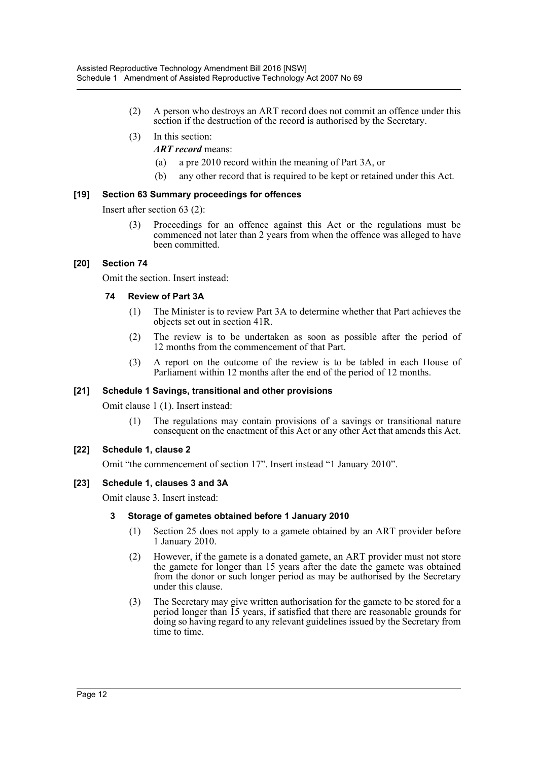- (2) A person who destroys an ART record does not commit an offence under this section if the destruction of the record is authorised by the Secretary.
- (3) In this section:

# *ART record* means:

- (a) a pre 2010 record within the meaning of Part 3A, or
- (b) any other record that is required to be kept or retained under this Act.

# **[19] Section 63 Summary proceedings for offences**

Insert after section 63 (2):

(3) Proceedings for an offence against this Act or the regulations must be commenced not later than 2 years from when the offence was alleged to have been committed.

# **[20] Section 74**

Omit the section. Insert instead:

# **74 Review of Part 3A**

- (1) The Minister is to review Part 3A to determine whether that Part achieves the objects set out in section 41R.
- (2) The review is to be undertaken as soon as possible after the period of 12 months from the commencement of that Part.
- (3) A report on the outcome of the review is to be tabled in each House of Parliament within 12 months after the end of the period of 12 months.

#### **[21] Schedule 1 Savings, transitional and other provisions**

Omit clause 1 (1). Insert instead:

(1) The regulations may contain provisions of a savings or transitional nature consequent on the enactment of this Act or any other Act that amends this Act.

# **[22] Schedule 1, clause 2**

Omit "the commencement of section 17". Insert instead "1 January 2010".

# **[23] Schedule 1, clauses 3 and 3A**

Omit clause 3. Insert instead:

#### **3 Storage of gametes obtained before 1 January 2010**

- (1) Section 25 does not apply to a gamete obtained by an ART provider before 1 January 2010.
- (2) However, if the gamete is a donated gamete, an ART provider must not store the gamete for longer than 15 years after the date the gamete was obtained from the donor or such longer period as may be authorised by the Secretary under this clause.
- (3) The Secretary may give written authorisation for the gamete to be stored for a period longer than 15 years, if satisfied that there are reasonable grounds for doing so having regard to any relevant guidelines issued by the Secretary from time to time.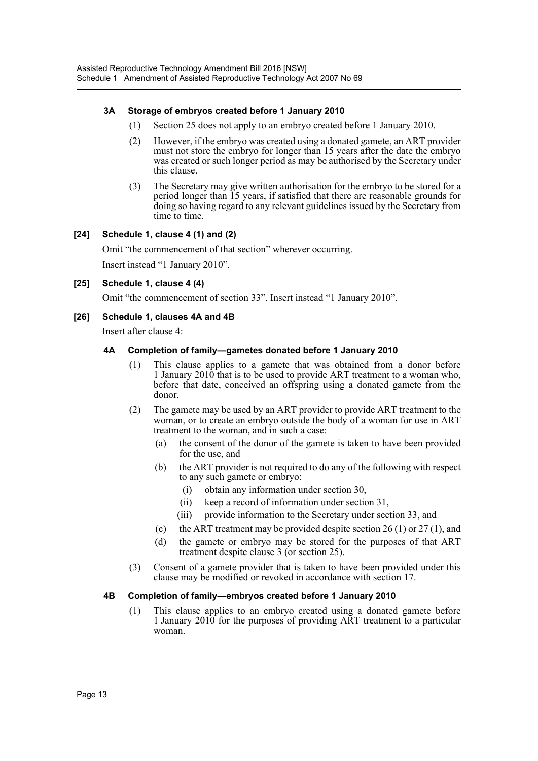# **3A Storage of embryos created before 1 January 2010**

- (1) Section 25 does not apply to an embryo created before 1 January 2010.
- (2) However, if the embryo was created using a donated gamete, an ART provider must not store the embryo for longer than 15 years after the date the embryo was created or such longer period as may be authorised by the Secretary under this clause.
- (3) The Secretary may give written authorisation for the embryo to be stored for a period longer than 15 years, if satisfied that there are reasonable grounds for doing so having regard to any relevant guidelines issued by the Secretary from time to time.

#### **[24] Schedule 1, clause 4 (1) and (2)**

Omit "the commencement of that section" wherever occurring. Insert instead "1 January 2010".

#### **[25] Schedule 1, clause 4 (4)**

Omit "the commencement of section 33". Insert instead "1 January 2010".

#### **[26] Schedule 1, clauses 4A and 4B**

Insert after clause 4:

#### **4A Completion of family—gametes donated before 1 January 2010**

- (1) This clause applies to a gamete that was obtained from a donor before 1 January 2010 that is to be used to provide ART treatment to a woman who, before that date, conceived an offspring using a donated gamete from the donor.
- (2) The gamete may be used by an ART provider to provide ART treatment to the woman, or to create an embryo outside the body of a woman for use in ART treatment to the woman, and in such a case:
	- (a) the consent of the donor of the gamete is taken to have been provided for the use, and
	- (b) the ART provider is not required to do any of the following with respect to any such gamete or embryo:
		- (i) obtain any information under section 30,
		- (ii) keep a record of information under section 31,
		- (iii) provide information to the Secretary under section 33, and
	- (c) the ART treatment may be provided despite section 26 (1) or 27 (1), and
	- (d) the gamete or embryo may be stored for the purposes of that ART treatment despite clause 3 (or section 25).
- (3) Consent of a gamete provider that is taken to have been provided under this clause may be modified or revoked in accordance with section 17.

#### **4B Completion of family—embryos created before 1 January 2010**

(1) This clause applies to an embryo created using a donated gamete before 1 January 2010 for the purposes of providing ART treatment to a particular woman.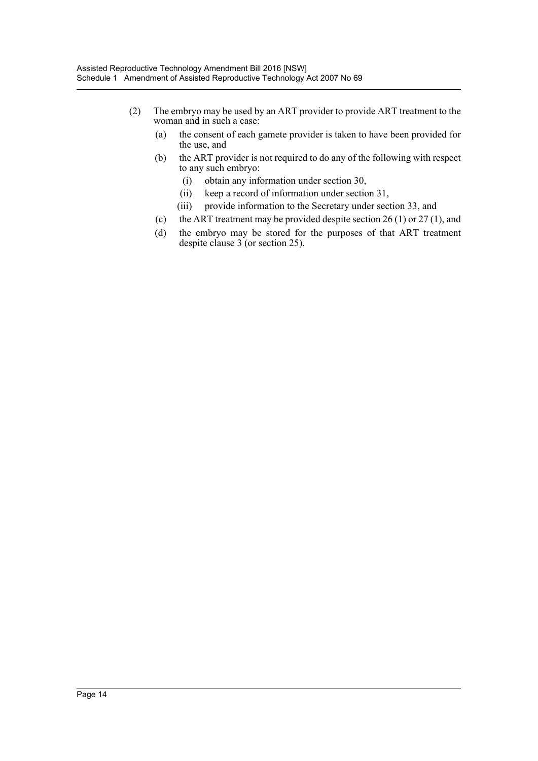- (2) The embryo may be used by an ART provider to provide ART treatment to the woman and in such a case:
	- (a) the consent of each gamete provider is taken to have been provided for the use, and
	- (b) the ART provider is not required to do any of the following with respect to any such embryo:
		- (i) obtain any information under section 30,
		- (ii) keep a record of information under section 31,
		- (iii) provide information to the Secretary under section 33, and
	- (c) the ART treatment may be provided despite section 26 (1) or 27 (1), and
	- (d) the embryo may be stored for the purposes of that ART treatment despite clause 3 (or section 25).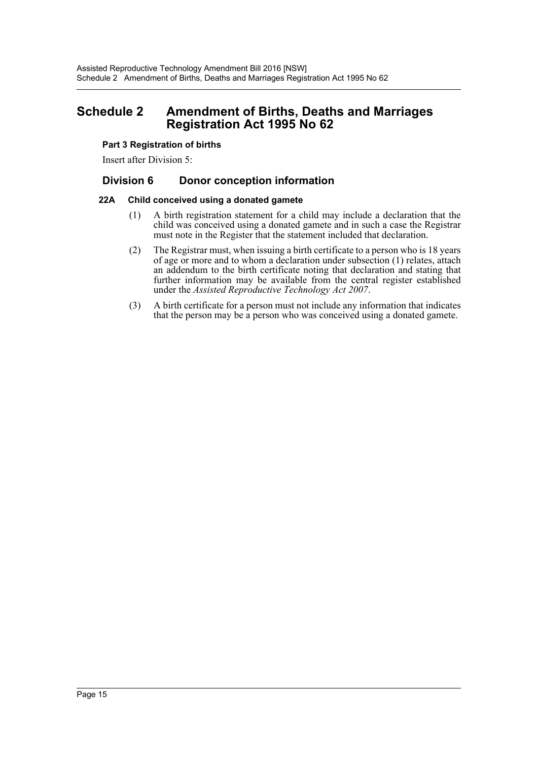# <span id="page-15-0"></span>**Schedule 2 Amendment of Births, Deaths and Marriages Registration Act 1995 No 62**

# **Part 3 Registration of births**

Insert after Division 5:

# **Division 6 Donor conception information**

# **22A Child conceived using a donated gamete**

- (1) A birth registration statement for a child may include a declaration that the child was conceived using a donated gamete and in such a case the Registrar must note in the Register that the statement included that declaration.
- (2) The Registrar must, when issuing a birth certificate to a person who is 18 years of age or more and to whom a declaration under subsection (1) relates, attach an addendum to the birth certificate noting that declaration and stating that further information may be available from the central register established under the *Assisted Reproductive Technology Act 2007*.
- (3) A birth certificate for a person must not include any information that indicates that the person may be a person who was conceived using a donated gamete.